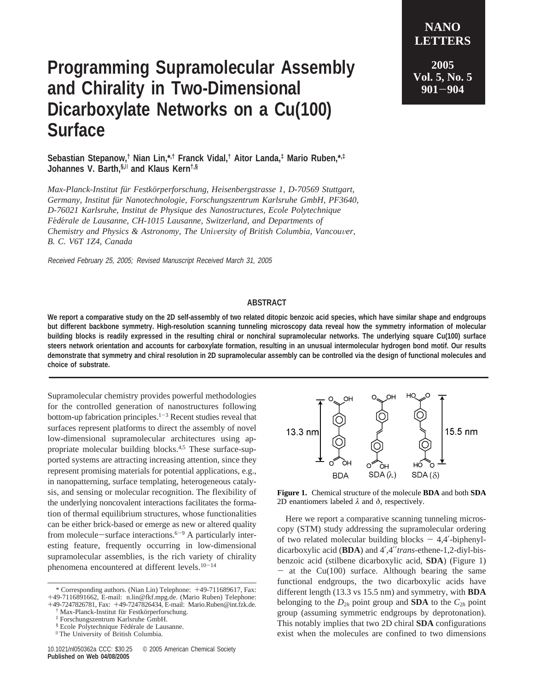## **Programming Supramolecular Assembly and Chirality in Two-Dimensional Dicarboxylate Networks on a Cu(100) Surface**

**Sebastian Stepanow,† Nian Lin,\*,† Franck Vidal,† Aitor Landa,‡ Mario Ruben,\*,‡ Johannes V. Barth,§,**<sup>|</sup> **and Klaus Kern†,§**

*Max-Planck-Institut fu¨r Festko¨rperforschung, Heisenbergstrasse 1, D-70569 Stuttgart, Germany, Institut fu¨r Nanotechnologie, Forschungszentrum Karlsruhe GmbH, PF3640, D-76021 Karlsruhe, Institut de Physique des Nanostructures, Ecole Polytechnique Fe*´*de*´*rale de Lausanne, CH-1015 Lausanne, Switzerland, and Departments of Chemistry and Physics & Astronomy, The University of British Columbia, Vancouver, B. C. V6T 1Z4, Canada*

Received February 25, 2005; Revised Manuscript Received March 31, 2005

## **ABSTRACT**

**We report a comparative study on the 2D self-assembly of two related ditopic benzoic acid species, which have similar shape and endgroups but different backbone symmetry. High-resolution scanning tunneling microscopy data reveal how the symmetry information of molecular building blocks is readily expressed in the resulting chiral or nonchiral supramolecular networks. The underlying square Cu(100) surface steers network orientation and accounts for carboxylate formation, resulting in an unusual intermolecular hydrogen bond motif. Our results demonstrate that symmetry and chiral resolution in 2D supramolecular assembly can be controlled via the design of functional molecules and choice of substrate.**

Supramolecular chemistry provides powerful methodologies for the controlled generation of nanostructures following bottom-up fabrication principles. $1-3$  Recent studies reveal that surfaces represent platforms to direct the assembly of novel low-dimensional supramolecular architectures using appropriate molecular building blocks.4,5 These surface-supported systems are attracting increasing attention, since they represent promising materials for potential applications, e.g., in nanopatterning, surface templating, heterogeneous catalysis, and sensing or molecular recognition. The flexibility of the underlying noncovalent interactions facilitates the formation of thermal equilibrium structures, whose functionalities can be either brick-based or emerge as new or altered quality from molecule-surface interactions. $6-9$  A particularly interesting feature, frequently occurring in low-dimensional supramolecular assemblies, is the rich variety of chirality phenomena encountered at different levels.<sup>10-14</sup>



**Figure 1.** Chemical structure of the molecule **BDA** and both **SDA** 2D enantiomers labeled *λ* and *δ*, respectively.

Here we report a comparative scanning tunneling microscopy (STM) study addressing the supramolecular ordering of two related molecular building blocks  $-4,4'$ -biphenyldicarboxylic acid (**BDA**) and 4′,4′′*trans*-ethene-1,2-diyl-bisbenzoic acid (stilbene dicarboxylic acid, **SDA**) (Figure 1)  $-$  at the Cu(100) surface. Although bearing the same functional endgroups, the two dicarboxylic acids have different length (13.3 vs 15.5 nm) and symmetry, with **BDA** belonging to the  $D_{2h}$  point group and **SDA** to the  $C_{2h}$  point group (assuming symmetric endgroups by deprotonation). This notably implies that two 2D chiral **SDA** configurations exist when the molecules are confined to two dimensions

**NANO LETTERS**

<sup>\*</sup> Corresponding authors. (Nian Lin) Telephone: +49-711689617, Fax: +49-7116891662, E-mail: n.lin@fkf.mpg.de. (Mario Ruben) Telephone: +49-7247826781, Fax: +49-7247826434, E-mail: Mario.Ruben@int.fzk.de.

 $\dagger$  Max-Planck-Institut für Festkörperforschung.

<sup>&</sup>lt;sup>‡</sup> Forschungszentrum Karlsruhe GmbH.<br>§ Ecole Polytechnique Fédérale de Lausanne.

 $"$  The University of British Columbia.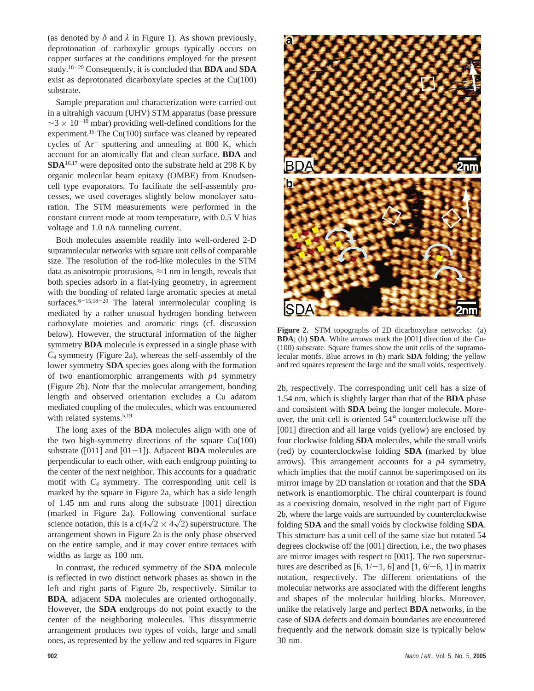(as denoted by  $\delta$  and  $\lambda$  in Figure 1). As shown previously, deprotonation of carboxylic groups typically occurs on copper surfaces at the conditions employed for the present study.18-<sup>20</sup> Consequently, it is concluded that **BDA** and **SDA** exist as deprotonated dicarboxylate species at the Cu(100) substrate.

Sample preparation and characterization were carried out in a ultrahigh vacuum (UHV) STM apparatus (base pressure  $\sim$ 3 × 10<sup>-10</sup> mbar) providing well-defined conditions for the experiment.<sup>15</sup> The Cu(100) surface was cleaned by repeated cycles of  $Ar^+$  sputtering and annealing at 800 K, which account for an atomically flat and clean surface. **BDA** and **SDA**16,17 were deposited onto the substrate held at 298 K by organic molecular beam epitaxy (OMBE) from Knudsencell type evaporators. To facilitate the self-assembly processes, we used coverages slightly below monolayer saturation. The STM measurements were performed in the constant current mode at room temperature, with 0.5 V bias voltage and 1.0 nA tunneling current.

Both molecules assemble readily into well-ordered 2-D supramolecular networks with square unit cells of comparable size. The resolution of the rod-like molecules in the STM data as anisotropic protrusions,  $\approx$ 1 nm in length, reveals that both species adsorb in a flat-lying geometry, in agreement with the bonding of related large aromatic species at metal surfaces.<sup>6-15,18-20</sup> The lateral intermolecular coupling is mediated by a rather unusual hydrogen bonding between carboxylate moieties and aromatic rings (cf. discussion below). However, the structural information of the higher symmetry **BDA** molecule is expressed in a single phase with *C*<sup>4</sup> symmetry (Figure 2a), whereas the self-assembly of the lower symmetry **SDA** species goes along with the formation of two enantiomorphic arrangements with *p*4 symmetry (Figure 2b). Note that the molecular arrangement, bonding length and observed orientation excludes a Cu adatom mediated coupling of the molecules, which was encountered with related systems.<sup>5,19</sup>

The long axes of the **BDA** molecules align with one of the two high-symmetry directions of the square  $Cu(100)$ substrate ( $[011]$  and  $[01-1]$ ). Adjacent **BDA** molecules are perpendicular to each other, with each endgroup pointing to the center of the next neighbor. This accounts for a quadratic motif with  $C_4$  symmetry. The corresponding unit cell is marked by the square in Figure 2a, which has a side length of 1.45 nm and runs along the substrate [001] direction (marked in Figure 2a). Following conventional surface science notation, this is a  $c(4\sqrt{2} \times 4\sqrt{2})$  superstructure. The arrangement shown in Figure 2a is the only phase observed on the entire sample, and it may cover entire terraces with widths as large as 100 nm.

In contrast, the reduced symmetry of the **SDA** molecule is reflected in two distinct network phases as shown in the left and right parts of Figure 2b, respectively. Similar to **BDA**, adjacent **SDA** molecules are oriented orthogonally. However, the **SDA** endgroups do not point exactly to the center of the neighboring molecules. This dissymmetric arrangement produces two types of voids, large and small ones, as represented by the yellow and red squares in Figure



**Figure 2.** STM topographs of 2D dicarboxylate networks: (a) **BDA**; (b) **SDA**. White arrows mark the [001] direction of the Cu- (100) substrate. Square frames show the unit cells of the supramolecular motifs. Blue arrows in (b) mark **SDA** folding; the yellow and red squares represent the large and the small voids, respectively.

2b, respectively. The corresponding unit cell has a size of 1.54 nm, which is slightly larger than that of the **BDA** phase and consistent with **SDA** being the longer molecule. Moreover, the unit cell is oriented 54° counterclockwise off the [001] direction and all large voids (yellow) are enclosed by four clockwise folding **SDA** molecules, while the small voids (red) by counterclockwise folding **SDA** (marked by blue arrows). This arrangement accounts for a *p*4 symmetry, which implies that the motif cannot be superimposed on its mirror image by 2D translation or rotation and that the **SDA** network is enantiomorphic. The chiral counterpart is found as a coexisting domain, resolved in the right part of Figure 2b, where the large voids are surrounded by counterclockwise folding **SDA** and the small voids by clockwise folding **SDA**. This structure has a unit cell of the same size but rotated 54 degrees clockwise off the [001] direction, i.e., the two phases are mirror images with respect to [001]. The two superstructures are described as [6,  $1/-1$ , 6] and [1,  $6/-6$ , 1] in matrix notation, respectively. The different orientations of the molecular networks are associated with the different lengths and shapes of the molecular building blocks. Moreover, unlike the relatively large and perfect **BDA** networks, in the case of **SDA** defects and domain boundaries are encountered frequently and the network domain size is typically below 30 nm.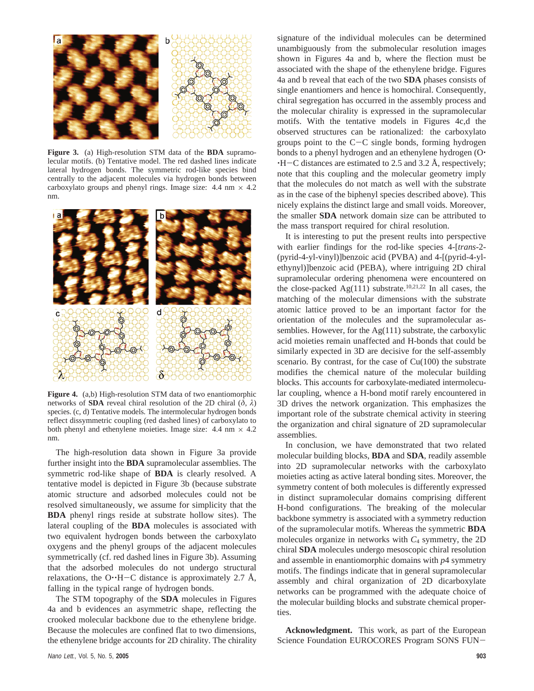

**Figure 3.** (a) High-resolution STM data of the **BDA** supramolecular motifs. (b) Tentative model. The red dashed lines indicate lateral hydrogen bonds. The symmetric rod-like species bind centrally to the adjacent molecules via hydrogen bonds between carboxylato groups and phenyl rings. Image size:  $4.4 \text{ nm} \times 4.2$ nm.



**Figure 4.** (a,b) High-resolution STM data of two enantiomorphic networks of **SDA** reveal chiral resolution of the 2D chiral  $(\delta, \lambda)$ species. (c, d) Tentative models. The intermolecular hydrogen bonds reflect dissymmetric coupling (red dashed lines) of carboxylato to both phenyl and ethenylene moieties. Image size:  $4.4 \text{ nm} \times 4.2$ nm.

The high-resolution data shown in Figure 3a provide further insight into the **BDA** supramolecular assemblies. The symmetric rod-like shape of **BDA** is clearly resolved. A tentative model is depicted in Figure 3b (because substrate atomic structure and adsorbed molecules could not be resolved simultaneously, we assume for simplicity that the **BDA** phenyl rings reside at substrate hollow sites). The lateral coupling of the **BDA** molecules is associated with two equivalent hydrogen bonds between the carboxylato oxygens and the phenyl groups of the adjacent molecules symmetrically (cf. red dashed lines in Figure 3b). Assuming that the adsorbed molecules do not undergo structural relaxations, the O $\cdot$ H-C distance is approximately 2.7 Å, falling in the typical range of hydrogen bonds.

The STM topography of the **SDA** molecules in Figures 4a and b evidences an asymmetric shape, reflecting the crooked molecular backbone due to the ethenylene bridge. Because the molecules are confined flat to two dimensions, the ethenylene bridge accounts for 2D chirality. The chirality

shown in Figures 4a and b, where the flection must be associated with the shape of the ethenylene bridge. Figures 4a and b reveal that each of the two **SDA** phases consists of single enantiomers and hence is homochiral. Consequently, chiral segregation has occurred in the assembly process and the molecular chirality is expressed in the supramolecular motifs. With the tentative models in Figures 4c,d the observed structures can be rationalized: the carboxylato groups point to the  $C-C$  single bonds, forming hydrogen bonds to a phenyl hydrogen and an ethenylene hydrogen (O.  $-H-C$  distances are estimated to 2.5 and 3.2 Å, respectively; note that this coupling and the molecular geometry imply that the molecules do not match as well with the substrate as in the case of the biphenyl species described above). This nicely explains the distinct large and small voids. Moreover, the smaller **SDA** network domain size can be attributed to the mass transport required for chiral resolution. It is interesting to put the present reults into perspective

signature of the individual molecules can be determined unambiguously from the submolecular resolution images

with earlier findings for the rod-like species 4-[*trans-*2- (pyrid-4-yl-vinyl)]benzoic acid (PVBA) and 4-[(pyrid-4-ylethynyl)]benzoic acid (PEBA), where intriguing 2D chiral supramolecular ordering phenomena were encountered on the close-packed Ag(111) substrate.<sup>10,21,22</sup> In all cases, the matching of the molecular dimensions with the substrate atomic lattice proved to be an important factor for the orientation of the molecules and the supramolecular assemblies. However, for the Ag(111) substrate, the carboxylic acid moieties remain unaffected and H-bonds that could be similarly expected in 3D are decisive for the self-assembly scenario. By contrast, for the case of  $Cu(100)$  the substrate modifies the chemical nature of the molecular building blocks. This accounts for carboxylate-mediated intermolecular coupling, whence a H-bond motif rarely encountered in 3D drives the network organization. This emphasizes the important role of the substrate chemical activity in steering the organization and chiral signature of 2D supramolecular assemblies.

In conclusion, we have demonstrated that two related molecular building blocks, **BDA** and **SDA**, readily assemble into 2D supramolecular networks with the carboxylato moieties acting as active lateral bonding sites. Moreover, the symmetry content of both molecules is differently expressed in distinct supramolecular domains comprising different H-bond configurations. The breaking of the molecular backbone symmetry is associated with a symmetry reduction of the supramolecular motifs. Whereas the symmetric **BDA** molecules organize in networks with  $C_4$  symmetry, the 2D chiral **SDA** molecules undergo mesoscopic chiral resolution and assemble in enantiomorphic domains with *p*4 symmetry motifs. The findings indicate that in general supramolecular assembly and chiral organization of 2D dicarboxylate networks can be programmed with the adequate choice of the molecular building blocks and substrate chemical properties.

**Acknowledgment.** This work, as part of the European Science Foundation EUROCORES Program SONS FUN-